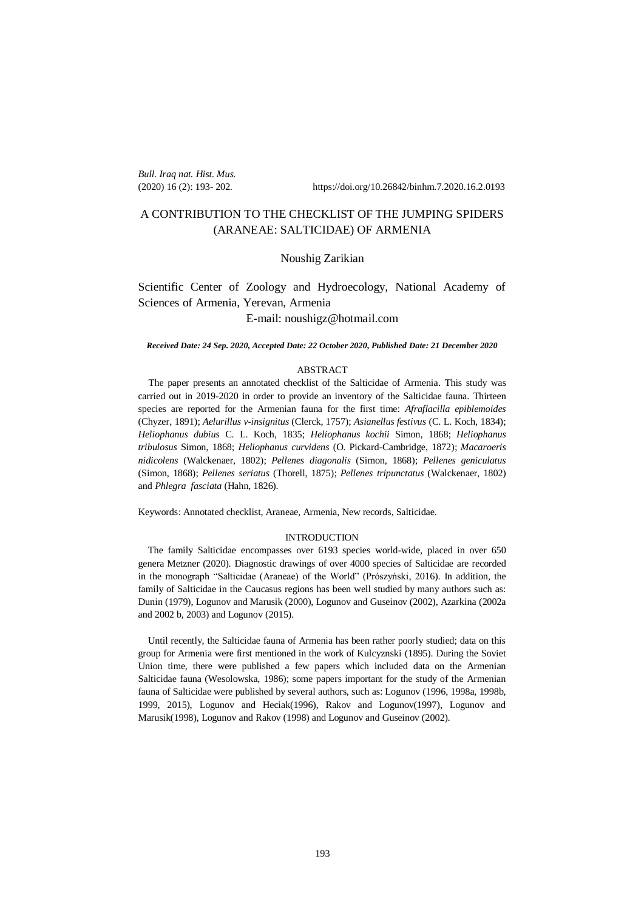*Bull. Iraq nat. Hist. Mus.* 

(2020) 16 (2): 193- 202. https://doi.org/10.26842/binhm.7.2020.16.2.0193

# A CONTRIBUTION TO THE CHECKLIST OF THE JUMPING SPIDERS (ARANEAE: SALTICIDAE) OF ARMENIA

# Noushig Zarikian

# Scientific Center of Zoology and Hydroecology, National Academy of Sciences of Armenia, Yerevan, Armenia E-mail: noushigz@hotmail.com

#### *Received Date: 24 Sep. 2020, Accepted Date: 22 October 2020, Published Date: 21 December 2020*

## ABSTRACT

The paper presents an annotated checklist of the Salticidae of Armenia. This study was carried out in 2019-2020 in order to provide an inventory of the Salticidae fauna. Thirteen species are reported for the Armenian fauna for the first time: *Afraflacilla epiblemoides*  (Chyzer, 1891); *Aelurillus v-insignitus* (Clerck, 1757); *Asianellus festivus* (C. L. Koch, 1834); *Heliophanus dubius* C. L. Koch, 1835; *Heliophanus kochii* Simon, 1868; *Heliophanus tribulosus* Simon, 1868; *Heliophanus curvidens* (O. Pickard-Cambridge, 1872); *Macaroeris nidicolens* (Walckenaer, 1802); *Pellenes diagonalis* (Simon, 1868); *Pellenes geniculatus* (Simon, 1868); *Pellenes seriatus* (Thorell, 1875); *Pellenes tripunctatus* (Walckenaer, 1802) and *Phlegra fasciata* (Hahn, 1826).

Keywords: Annotated checklist, Araneae, Armenia, New records, Salticidae.

#### INTRODUCTION

 The family Salticidae encompasses over 6193 species world-wide, placed in over 650 genera Metzner (2020). Diagnostic drawings of over 4000 species of Salticidae are recorded in the monograph "Salticidae (Araneae) of the World" (Prószyński, 2016). In addition, the family of Salticidae in the Caucasus regions has been well studied by many authors such as: Dunin (1979), Logunov and Marusik (2000), Logunov and Guseinov (2002), Azarkina (2002a and 2002 b, 2003) and Logunov (2015).

 Until recently, the Salticidae fauna of Armenia has been rather poorly studied; data on this group for Armenia were first mentioned in the work of Kulcyznski (1895). During the Soviet Union time, there were published a few papers which included data on the Armenian Salticidae fauna (Wesolowska, 1986); some papers important for the study of the Armenian fauna of Salticidae were published by several authors, such as: Logunov (1996, 1998a, 1998b, 1999, 2015), Logunov and Heciak(1996), Rakov and Logunov(1997), Logunov and Marusik(1998), Logunov and Rakov (1998) and Logunov and Guseinov (2002).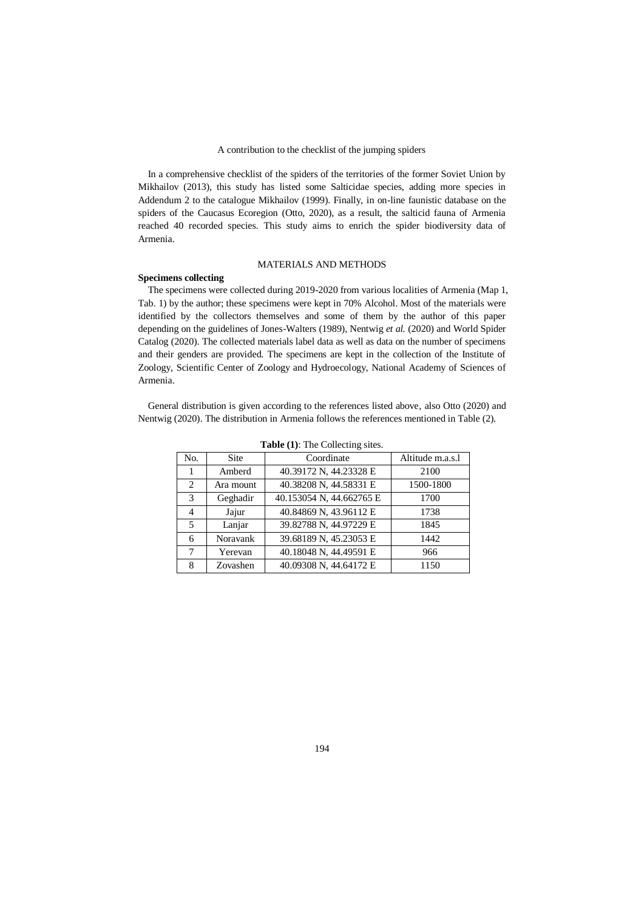In a comprehensive checklist of the spiders of the territories of the former Soviet Union by Mikhailov (2013), this study has listed some Salticidae species, adding more species in Addendum 2 to the catalogue Mikhailov (1999). Finally, in on-line faunistic database on the spiders of the Caucasus Ecoregion (Otto, 2020), as a result, the salticid fauna of Armenia reached 40 recorded species. This study aims to enrich the spider biodiversity data of Armenia.

### MATERIALS AND METHODS

## **Specimens collecting**

 The specimens were collected during 2019-2020 from various localities of Armenia (Map 1, Tab. 1) by the author; these specimens were kept in 70% Alcohol. Most of the materials were identified by the collectors themselves and some of them by the author of this paper depending on the guidelines of Jones-Walters (1989), Nentwig *et al.* (2020) and World Spider Catalog (2020). The collected materials label data as well as data on the number of specimens and their genders are provided. The specimens are kept in the collection of the Institute of Zoology, Scientific Center of Zoology and Hydroecology, National Academy of Sciences of Armenia.

 General distribution is given according to the references listed above, also Otto (2020) and Nentwig (2020). The distribution in Armenia follows the references mentioned in Table (2).

| No. | <b>Site</b> | Coordinate               | Altitude m.a.s.l |
|-----|-------------|--------------------------|------------------|
|     | Amberd      | 40.39172 N, 44.23328 E   | 2100             |
| 2   | Ara mount   | 40.38208 N, 44.58331 E   | 1500-1800        |
| 3   | Geghadir    | 40.153054 N, 44.662765 E | 1700             |
| 4   | Jajur       | 40.84869 N, 43.96112 E   | 1738             |
| 5   | Lanjar      | 39.82788 N, 44.97229 E   | 1845             |
| 6   | Noravank    | 39.68189 N, 45.23053 E   | 1442             |
| 7   | Yerevan     | 40.18048 N, 44.49591 E   | 966              |
| 8   | Zovashen    | 40.09308 N, 44.64172 E   | 1150             |

**Table (1)**: The Collecting sites.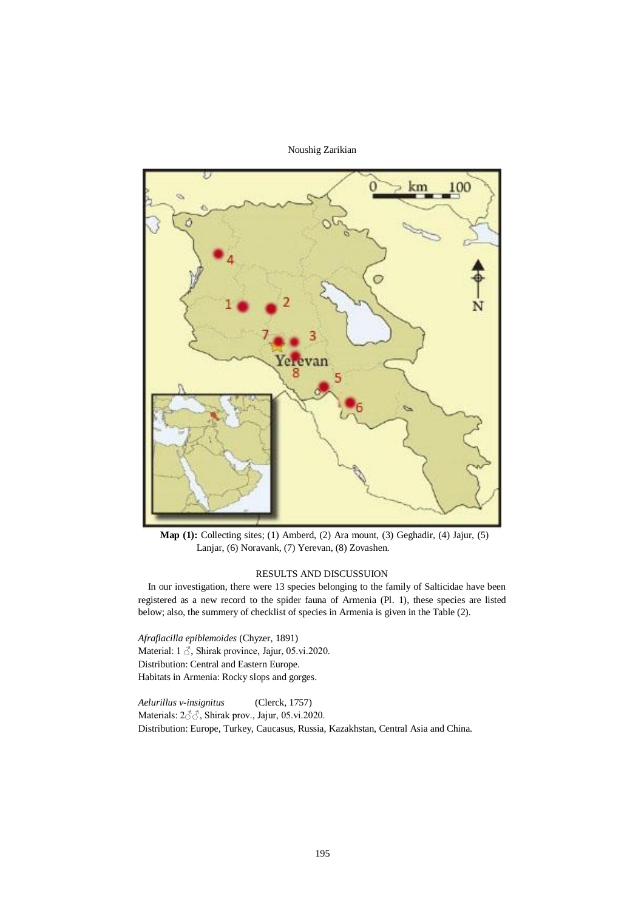

**Map (1):** Collecting sites; (1) Amberd, (2) Ara mount, (3) Geghadir, (4) Jajur, (5) Lanjar, (6) Noravank, (7) Yerevan, (8) Zovashen.

## RESULTS AND DISCUSSUION

 In our investigation, there were 13 species belonging to the family of Salticidae have been registered as a new record to the spider fauna of Armenia (Pl. 1), these species are listed below; also, the summery of checklist of species in Armenia is given in the Table (2).

*Afraflacilla epiblemoides* (Chyzer, 1891) Material: 1  $\delta$ , Shirak province, Jajur, 05.vi.2020. Distribution: Central and Eastern Europe. Habitats in Armenia: Rocky slops and gorges.

*Aelurillus v-insignitus* (Clerck, 1757) Materials: 2♂♂, Shirak prov., Jajur, 05.vi.2020. Distribution: Europe, Turkey, Caucasus, Russia, Kazakhstan, Central Asia and China.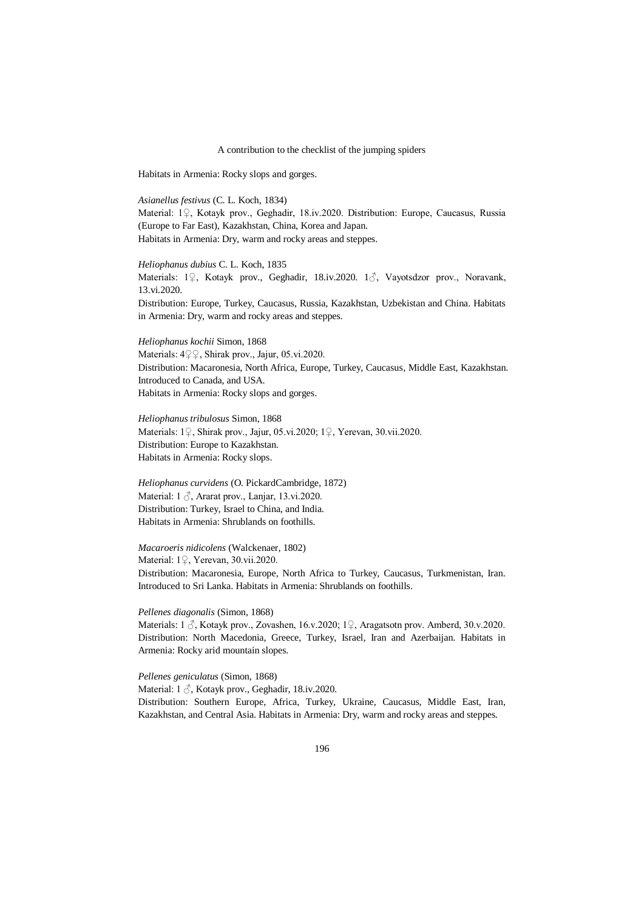Habitats in Armenia: Rocky slops and gorges.

*Asianellus festivus* (C. L. Koch, 1834) Material: 1♀, Kotayk prov., Geghadir, 18.iv.2020. Distribution: Europe, Caucasus, Russia (Europe to Far East), Kazakhstan, China, Korea and Japan. Habitats in Armenia: Dry, warm and rocky areas and steppes.

*Heliophanus dubius* C. L. Koch, 1835 Materials: 1♀, Kotayk prov., Geghadir, 18.iv.2020. 1♂, Vayotsdzor prov., Noravank, 13.vi.2020. Distribution: Europe, Turkey, Caucasus, Russia, Kazakhstan, Uzbekistan and China. Habitats in Armenia: Dry, warm and rocky areas and steppes.

*Heliophanus kochii* Simon, 1868 Materials: 4♀♀, Shirak prov., Jajur, 05.vi.2020. Distribution: Macaronesia, North Africa, Europe, Turkey, Caucasus, Middle East, Kazakhstan. Introduced to Canada, and USA. Habitats in Armenia: Rocky slops and gorges.

*Heliophanus tribulosus* Simon, 1868 Materials: 1♀, Shirak prov., Jajur, 05.vi.2020; 1♀, Yerevan, 30.vii.2020. Distribution: Europe to Kazakhstan. Habitats in Armenia: Rocky slops.

*Heliophanus curvidens* (O. PickardCambridge, 1872) Material: 1 ♂, Ararat prov., Lanjar, 13.vi.2020. Distribution: Turkey, Israel to China, and India. Habitats in Armenia: Shrublands on foothills.

*Macaroeris nidicolens* (Walckenaer, 1802) Material: 1♀, Yerevan, 30.vii.2020. Distribution: Macaronesia, Europe, North Africa to Turkey, Caucasus, Turkmenistan, Iran. Introduced to Sri Lanka. Habitats in Armenia: Shrublands on foothills.

*Pellenes diagonalis* (Simon, 1868) Materials: 1  $\beta$ , Kotayk prov., Zovashen, 16.v.2020; 1 $\beta$ , Aragatsotn prov. Amberd, 30.v.2020.

Distribution: North Macedonia, Greece, Turkey, Israel, Iran and Azerbaijan. Habitats in Armenia: Rocky arid mountain slopes.

*Pellenes geniculatus* (Simon, 1868) Material: 1  $\beta$ , Kotayk prov., Geghadir, 18.iv.2020. Distribution: Southern Europe, Africa, Turkey, Ukraine, Caucasus, Middle East, Iran, Kazakhstan, and Central Asia. Habitats in Armenia: Dry, warm and rocky areas and steppes.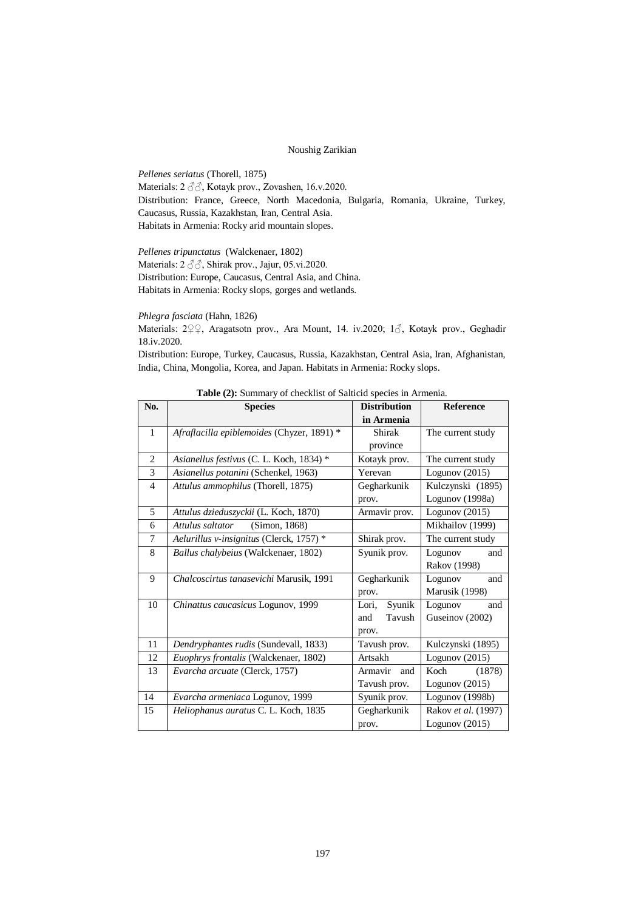*Pellenes seriatus* (Thorell, 1875) Materials: 2 ♂♂, Kotayk prov., Zovashen, 16.v.2020. Distribution: France, Greece, North Macedonia, Bulgaria, Romania, Ukraine, Turkey, Caucasus, Russia, Kazakhstan, Iran, Central Asia. Habitats in Armenia: Rocky arid mountain slopes.

*Pellenes tripunctatus* (Walckenaer, 1802) Materials: 2 ♂♂, Shirak prov., Jajur, 05.vi.2020. Distribution: Europe, Caucasus, Central Asia, and China. Habitats in Armenia: Rocky slops, gorges and wetlands.

*Phlegra fasciata* (Hahn, 1826)

Materials: 2♀♀, Aragatsotn prov., Ara Mount, 14. iv.2020; 1♂, Kotayk prov., Geghadir 18.iv.2020.

Distribution: Europe, Turkey, Caucasus, Russia, Kazakhstan, Central Asia, Iran, Afghanistan, India, China, Mongolia, Korea, and Japan. Habitats in Armenia: Rocky slops.

| No.            | <b>Species</b>                             | <b>Distribution</b> | <b>Reference</b>    |
|----------------|--------------------------------------------|---------------------|---------------------|
|                |                                            | in Armenia          |                     |
| $\mathbf{1}$   | Afraflacilla epiblemoides (Chyzer, 1891) * | Shirak              | The current study   |
|                |                                            | province            |                     |
| $\overline{2}$ | Asianellus festivus (C. L. Koch, 1834) *   | Kotayk prov.        | The current study   |
| 3              | Asianellus potanini (Schenkel, 1963)       | Yerevan             | Logunov $(2015)$    |
| $\overline{4}$ | Attulus ammophilus (Thorell, 1875)         | Gegharkunik         | Kulczynski (1895)   |
|                |                                            | prov.               | Logunov (1998a)     |
| 5              | Attulus dzieduszyckii (L. Koch, 1870)      | Armavir prov.       | Logunov $(2015)$    |
| 6              | Attulus saltator<br>(Simon, 1868)          |                     | Mikhailov (1999)    |
| 7              | Aelurillus v-insignitus (Clerck, 1757) *   | Shirak prov.        | The current study   |
| 8              | Ballus chalybeius (Walckenaer, 1802)       | Syunik prov.        | Logunov<br>and      |
|                |                                            |                     | Rakov (1998)        |
| 9              | Chalcoscirtus tanasevichi Marusik, 1991    | Gegharkunik         | Logunov<br>and      |
|                |                                            | prov.               | Marusik (1998)      |
| 10             | Chinattus caucasicus Logunov, 1999         | Syunik<br>Lori,     | Logunov<br>and      |
|                |                                            | Tavush<br>and       | Guseinov (2002)     |
|                |                                            | prov.               |                     |
| 11             | Dendryphantes rudis (Sundevall, 1833)      | Tavush prov.        | Kulczynski (1895)   |
| 12             | Euophrys frontalis (Walckenaer, 1802)      | Artsakh             | Logunov $(2015)$    |
| 13             | Evarcha arcuate (Clerck, 1757)             | Armavir<br>and      | Koch<br>(1878)      |
|                |                                            | Tavush prov.        | Logunov $(2015)$    |
| 14             | Evarcha armeniaca Logunov, 1999            | Syunik prov.        | Logunov (1998b)     |
| 15             | Heliophanus auratus C. L. Koch, 1835       | Gegharkunik         | Rakov et al. (1997) |
|                |                                            | prov.               | Logunov $(2015)$    |

**Table (2):** Summary of checklist of Salticid species in Armenia.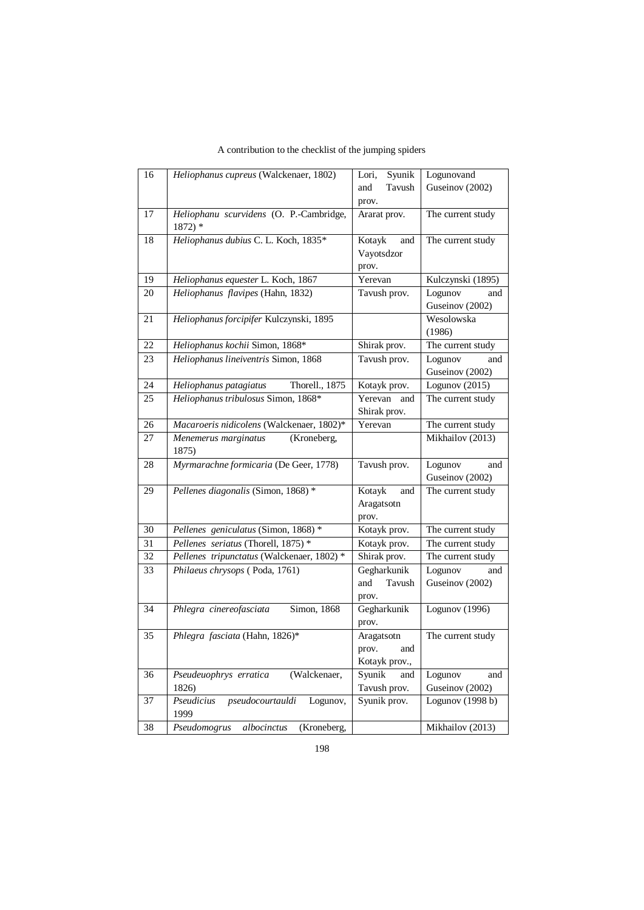| 16 | Heliophanus cupreus (Walckenaer, 1802)              | Syunik<br>Lori, | Logunovand                        |
|----|-----------------------------------------------------|-----------------|-----------------------------------|
|    |                                                     | Tavush<br>and   | Guseinov (2002)                   |
|    |                                                     | prov.           |                                   |
| 17 | Heliophanu scurvidens (O. P.-Cambridge,<br>$1872$ * | Ararat prov.    | The current study                 |
| 18 | Heliophanus dubius C. L. Koch, 1835*                | Kotayk<br>and   | The current study                 |
|    |                                                     | Vayotsdzor      |                                   |
|    |                                                     | prov.           |                                   |
| 19 | Heliophanus equester L. Koch, 1867                  | Yerevan         | Kulczynski (1895)                 |
| 20 | Heliophanus flavipes (Hahn, 1832)                   | Tavush prov.    | Logunov<br>and<br>Guseinov (2002) |
| 21 | Heliophanus forcipifer Kulczynski, 1895             |                 | Wesolowska                        |
|    |                                                     |                 | (1986)                            |
| 22 | Heliophanus kochii Simon, 1868*                     | Shirak prov.    | The current study                 |
| 23 | Heliophanus lineiventris Simon, 1868                | Tavush prov.    | Logunov<br>and                    |
|    |                                                     |                 | Guseinov (2002)                   |
| 24 | Thorell., $1875$<br>Heliophanus patagiatus          | Kotayk prov.    | Logunov (2015)                    |
| 25 | Heliophanus tribulosus Simon, 1868*                 | Yerevan and     | The current study                 |
|    |                                                     | Shirak prov.    |                                   |
| 26 | Macaroeris nidicolens (Walckenaer, 1802)*           | Yerevan         | The current study                 |
| 27 | Menemerus marginatus<br>(Kroneberg,<br>1875)        |                 | Mikhailov (2013)                  |
| 28 | Myrmarachne formicaria (De Geer, 1778)              | Tavush prov.    | Logunov<br>and<br>Guseinov (2002) |
| 29 | Pellenes diagonalis (Simon, 1868) *                 | Kotayk<br>and   | The current study                 |
|    |                                                     | Aragatsotn      |                                   |
|    |                                                     | prov.           |                                   |
| 30 | Pellenes geniculatus (Simon, 1868) *                | Kotayk prov.    | The current study                 |
| 31 | Pellenes seriatus (Thorell, 1875) *                 | Kotayk prov.    | The current study                 |
| 32 | Pellenes tripunctatus (Walckenaer, 1802) *          | Shirak prov.    | The current study                 |
| 33 | Philaeus chrysops (Poda, 1761)                      | Gegharkunik     | Logunov<br>and                    |
|    |                                                     | Tavush<br>and   | Guseinov (2002)                   |
|    |                                                     | prov.           |                                   |
| 34 | Phlegra cinereofasciata<br>Simon, 1868              | Gegharkunik     | Logunov (1996)                    |
|    |                                                     | prov.           |                                   |
| 35 | Phlegra fasciata (Hahn, 1826)*                      | Aragatsotn      | The current study                 |
|    |                                                     | prov.<br>and    |                                   |
|    |                                                     | Kotayk prov.,   |                                   |
| 36 | (Walckenaer,<br>Pseudeuophrys erratica              | Syunik<br>and   | Logunov<br>and                    |
|    | 1826)                                               | Tavush prov.    | Guseinov (2002)                   |
| 37 | pseudocourtauldi<br>Pseudicius<br>Logunov,<br>1999  | Syunik prov.    | Logunov (1998 b)                  |
| 38 | Pseudomogrus<br>albocinctus<br>(Kroneberg,          |                 | Mikhailov (2013)                  |

A contribution to the checklist of the jumping spiders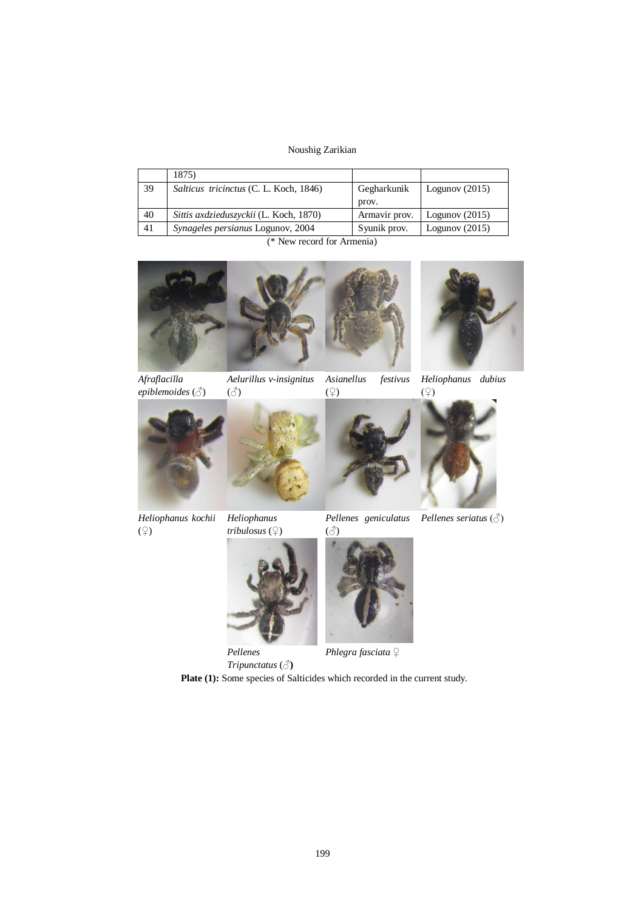|    | 1875)                                    |               |                  |
|----|------------------------------------------|---------------|------------------|
| 39 | Salticus tricinctus (C. L. Koch, 1846)   | Gegharkunik   | Logunov $(2015)$ |
|    |                                          | prov.         |                  |
| 40 | Sittis axdzieduszyckii (L. Koch, 1870)   | Armavir prov. | Logunov $(2015)$ |
| 41 | <i>Synageles persianus</i> Logunov, 2004 | Syunik prov.  | Logunov $(2015)$ |

(\* New record for Armenia)



*Afraflacilla epiblemoides* (♂) *Aelurillus v-insignitus*  $(3)$ 

*Asianellus festivus* (♀)



*Heliophanus dubius*







*Pellenes seriatus* (♂)

*Heliophanus kochii* (♀)



*Pellenes geniculatus* (♂)



*Phlegra fasciata* ♀

*Tripunctatus* (♂**)** Plate (1): Some species of Salticides which recorded in the current study.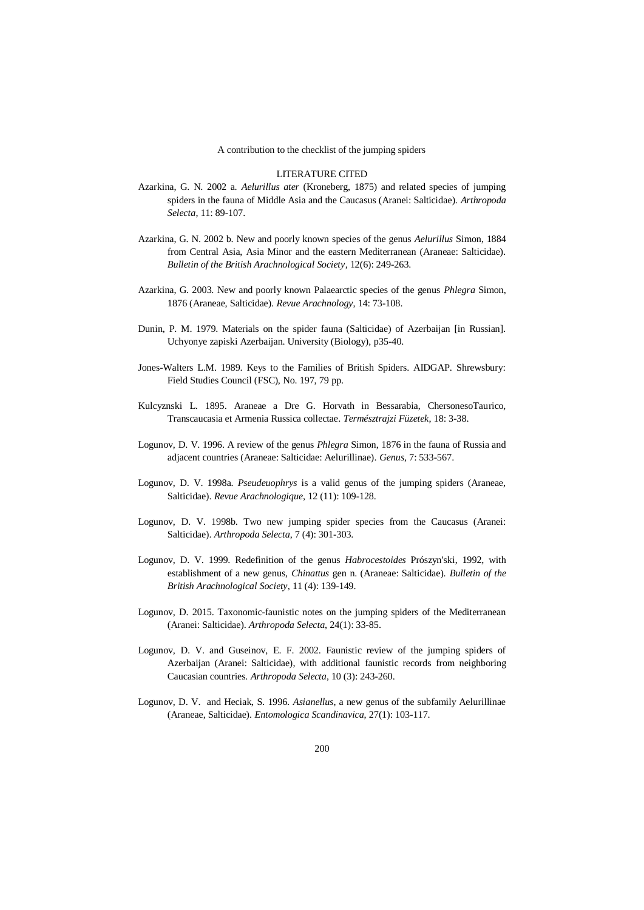#### LITERATURE CITED

- Azarkina, G. N. 2002 a. *Aelurillus ater* (Kroneberg, 1875) and related species of jumping spiders in the fauna of Middle Asia and the Caucasus (Aranei: Salticidae). *Arthropoda Selecta*, 11: 89-107.
- Azarkina, G. N. 2002 b. New and poorly known species of the genus *Aelurillus* Simon, 1884 from Central Asia, Asia Minor and the eastern Mediterranean (Araneae: Salticidae). *Bulletin of the British Arachnological Society*, 12(6): 249-263.
- Azarkina, G. 2003. New and poorly known Palaearctic species of the genus *Phlegra* Simon, 1876 (Araneae, Salticidae). *Revue Arachnology*, 14: 73-108.
- Dunin, P. M. 1979. Materials on the spider fauna (Salticidae) of Azerbaijan [in Russian]. Uchyonye zapiski Azerbaijan. University (Biology), p35-40.
- Jones-Walters L.M. 1989. Keys to the Families of British Spiders. AIDGAP. Shrewsbury: Field Studies Council (FSC), No. 197, 79 pp.
- Kulcyznski L. 1895. Araneae a Dre G. Horvath in Bessarabia, ChersonesoTaurico, Transcaucasia et Armenia Russica collectae. *Természtrajzi Füzetek*, 18: 3-38.
- Logunov, D. V. 1996. A review of the genus *Phlegra* Simon, 1876 in the fauna of Russia and adjacent countries (Araneae: Salticidae: Aelurillinae). *Genus*, 7: 533-567.
- Logunov, D. V. 1998a. *Pseudeuophrys* is a valid genus of the jumping spiders (Araneae, Salticidae). *Revue Arachnologique*, 12 (11): 109-128.
- Logunov, D. V. 1998b. Two new jumping spider species from the Caucasus (Aranei: Salticidae). *Arthropoda Selecta*, 7 (4): 301-303.
- Logunov, D. V. 1999. Redefinition of the genus *Habrocestoides* Prószyn'ski, 1992, with establishment of a new genus, *Chinattus* gen n. (Araneae: Salticidae). *Bulletin of the British Arachnological Society*, 11 (4): 139-149.
- Logunov, D. 2015. Taxonomic-faunistic notes on the jumping spiders of the Mediterranean (Aranei: Salticidae). *Arthropoda Selecta*, 24(1): 33-85.
- Logunov, D. V. and Guseinov, E. F. 2002. Faunistic review of the jumping spiders of Azerbaijan (Aranei: Salticidae), with additional faunistic records from neighboring Caucasian countries. *Arthropoda Selecta*, 10 (3): 243-260.
- Logunov, D. V. and Heciak, S. 1996. *Asianellus*, a new genus of the subfamily Aelurillinae (Araneae, Salticidae). *Entomologica Scandinavica*, 27(1): 103-117.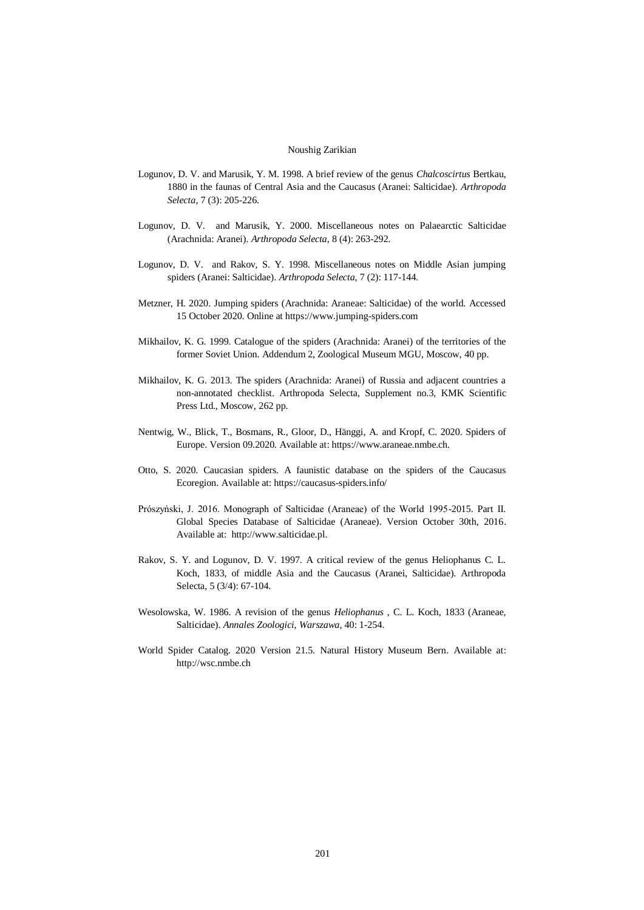- Logunov, D. V. and Marusik, Y. M. 1998. A brief review of the genus *Chalcoscirtus* Bertkau, 1880 in the faunas of Central Asia and the Caucasus (Aranei: Salticidae). *Arthropoda Selecta*, 7 (3): 205-226.
- Logunov, D. V. and Marusik, Y. 2000. Miscellaneous notes on Palaearctic Salticidae (Arachnida: Aranei). *Arthropoda Selecta*, 8 (4): 263-292.
- Logunov, D. V. and Rakov, S. Y. 1998. Miscellaneous notes on Middle Asian jumping spiders (Aranei: Salticidae). *Arthropoda Selecta*, 7 (2): 117-144.
- Metzner, H. 2020. Jumping spiders (Arachnida: Araneae: Salticidae) of the world. Accessed 15 October 2020. Online at https://www.jumping-spiders.com
- Mikhailov, K. G. 1999. Catalogue of the spiders (Arachnida: Aranei) of the territories of the former Soviet Union. Addendum 2, Zoological Museum MGU, Moscow, 40 pp.
- Mikhailov, K. G. 2013. The spiders (Arachnida: Aranei) of Russia and adjacent countries a non-annotated checklist. Arthropoda Selecta, Supplement no.3, KMK Scientific Press Ltd., Moscow, 262 pp.
- Nentwig, W., Blick, T., Bosmans, R., Gloor, D., Hänggi, A. and Kropf, C. 2020. Spiders of Europe. Version 09.2020. Available at: https://www.araneae.nmbe.ch.
- Otto, S. 2020. Caucasian spiders. A faunistic database on the spiders of the Caucasus Ecoregion. Available at: https://caucasus-spiders.info/
- Prószyński, J. 2016. Monograph of Salticidae (Araneae) of the World 1995-2015. Part II. Global Species Database of Salticidae (Araneae). Version October 30th, 2016. Available at: http://www.salticidae.pl.
- Rakov, S. Y. and Logunov, D. V. 1997. A critical review of the genus Heliophanus C. L. Koch, 1833, of middle Asia and the Caucasus (Aranei, Salticidae). Arthropoda Selecta, 5 (3/4): 67-104.
- Wesolowska, W. 1986. A revision of the genus *Heliophanus* , C. L. Koch, 1833 (Araneae, Salticidae). *Annales Zoologici*, *Warszawa*, 40: 1-254.
- World Spider Catalog. 2020 Version 21.5. Natural History Museum Bern. Available at: http://wsc.nmbe.ch